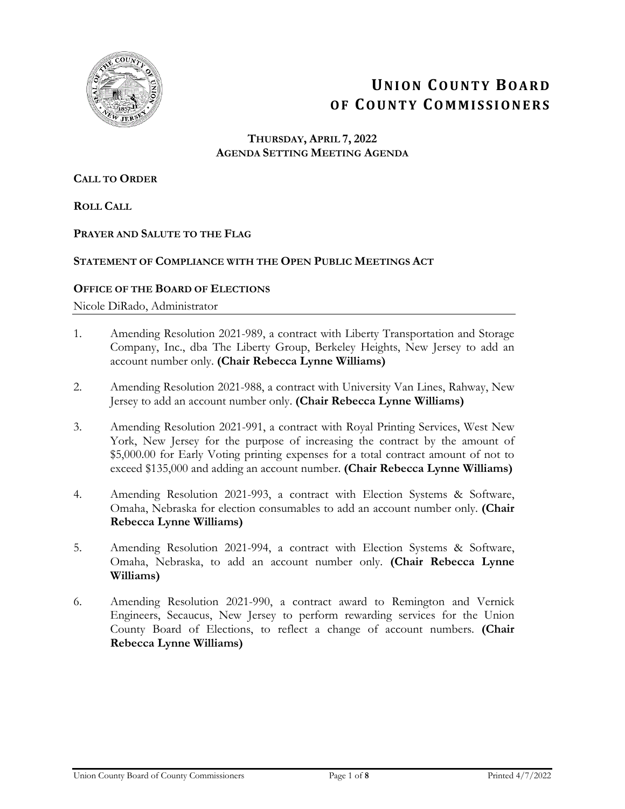

# **UNION COUNTY BOARD OF COUNTY COMMISSIONERS**

## **THURSDAY, APRIL 7, 2022 AGENDA SETTING MEETING AGENDA**

## **CALL TO ORDER**

**ROLL CALL**

## **PRAYER AND SALUTE TO THE FLAG**

## **STATEMENT OF COMPLIANCE WITH THE OPEN PUBLIC MEETINGS ACT**

## **OFFICE OF THE BOARD OF ELECTIONS**

Nicole DiRado, Administrator

- 1. Amending Resolution 2021-989, a contract with Liberty Transportation and Storage Company, Inc., dba The Liberty Group, Berkeley Heights, New Jersey to add an account number only. **(Chair Rebecca Lynne Williams)**
- 2. Amending Resolution 2021-988, a contract with University Van Lines, Rahway, New Jersey to add an account number only. **(Chair Rebecca Lynne Williams)**
- 3. Amending Resolution 2021-991, a contract with Royal Printing Services, West New York, New Jersey for the purpose of increasing the contract by the amount of \$5,000.00 for Early Voting printing expenses for a total contract amount of not to exceed \$135,000 and adding an account number. **(Chair Rebecca Lynne Williams)**
- 4. Amending Resolution 2021-993, a contract with Election Systems & Software, Omaha, Nebraska for election consumables to add an account number only. **(Chair Rebecca Lynne Williams)**
- 5. Amending Resolution 2021-994, a contract with Election Systems & Software, Omaha, Nebraska, to add an account number only. **(Chair Rebecca Lynne Williams)**
- 6. Amending Resolution 2021-990, a contract award to Remington and Vernick Engineers, Secaucus, New Jersey to perform rewarding services for the Union County Board of Elections, to reflect a change of account numbers. **(Chair Rebecca Lynne Williams)**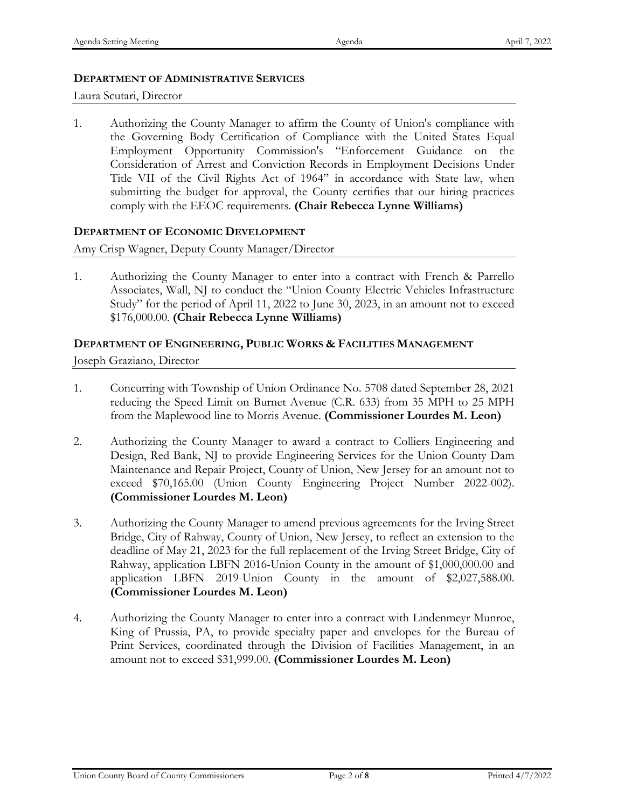## **DEPARTMENT OF ADMINISTRATIVE SERVICES**

Laura Scutari, Director

1. Authorizing the County Manager to affirm the County of Union's compliance with the Governing Body Certification of Compliance with the United States Equal Employment Opportunity Commission's "Enforcement Guidance on the Consideration of Arrest and Conviction Records in Employment Decisions Under Title VII of the Civil Rights Act of 1964" in accordance with State law, when submitting the budget for approval, the County certifies that our hiring practices comply with the EEOC requirements. **(Chair Rebecca Lynne Williams)**

## **DEPARTMENT OF ECONOMIC DEVELOPMENT**

Amy Crisp Wagner, Deputy County Manager/Director

1. Authorizing the County Manager to enter into a contract with French & Parrello Associates, Wall, NJ to conduct the "Union County Electric Vehicles Infrastructure Study" for the period of April 11, 2022 to June 30, 2023, in an amount not to exceed \$176,000.00. **(Chair Rebecca Lynne Williams)**

## **DEPARTMENT OF ENGINEERING, PUBLIC WORKS & FACILITIES MANAGEMENT**

Joseph Graziano, Director

- 1. Concurring with Township of Union Ordinance No. 5708 dated September 28, 2021 reducing the Speed Limit on Burnet Avenue (C.R. 633) from 35 MPH to 25 MPH from the Maplewood line to Morris Avenue. **(Commissioner Lourdes M. Leon)**
- 2. Authorizing the County Manager to award a contract to Colliers Engineering and Design, Red Bank, NJ to provide Engineering Services for the Union County Dam Maintenance and Repair Project, County of Union, New Jersey for an amount not to exceed \$70,165.00 (Union County Engineering Project Number 2022-002). **(Commissioner Lourdes M. Leon)**
- 3. Authorizing the County Manager to amend previous agreements for the Irving Street Bridge, City of Rahway, County of Union, New Jersey, to reflect an extension to the deadline of May 21, 2023 for the full replacement of the Irving Street Bridge, City of Rahway, application LBFN 2016-Union County in the amount of \$1,000,000.00 and application LBFN 2019-Union County in the amount of \$2,027,588.00. **(Commissioner Lourdes M. Leon)**
- 4. Authorizing the County Manager to enter into a contract with Lindenmeyr Munroe, King of Prussia, PA, to provide specialty paper and envelopes for the Bureau of Print Services, coordinated through the Division of Facilities Management, in an amount not to exceed \$31,999.00. **(Commissioner Lourdes M. Leon)**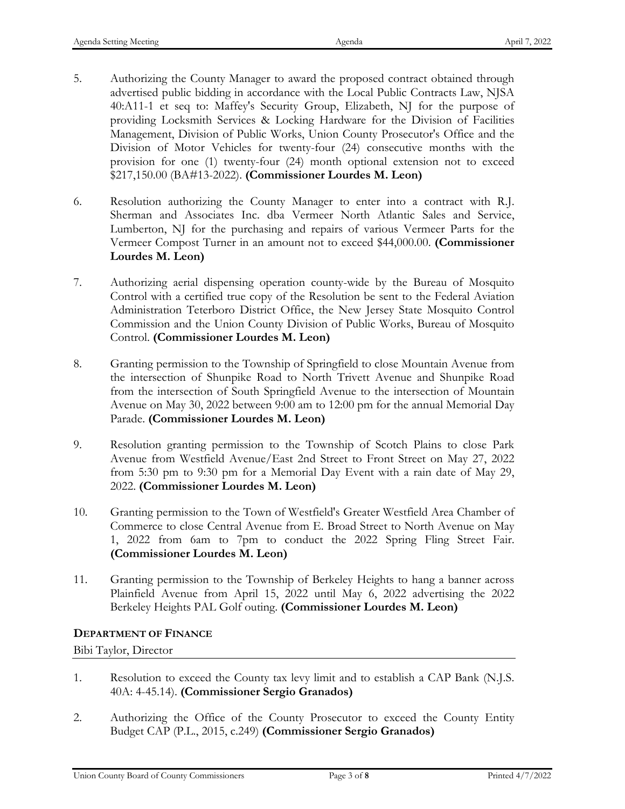- 5. Authorizing the County Manager to award the proposed contract obtained through advertised public bidding in accordance with the Local Public Contracts Law, NJSA 40:A11-1 et seq to: Maffey's Security Group, Elizabeth, NJ for the purpose of providing Locksmith Services & Locking Hardware for the Division of Facilities Management, Division of Public Works, Union County Prosecutor's Office and the Division of Motor Vehicles for twenty-four (24) consecutive months with the provision for one (1) twenty-four (24) month optional extension not to exceed \$217,150.00 (BA#13-2022). **(Commissioner Lourdes M. Leon)**
- 6. Resolution authorizing the County Manager to enter into a contract with R.J. Sherman and Associates Inc. dba Vermeer North Atlantic Sales and Service, Lumberton, NJ for the purchasing and repairs of various Vermeer Parts for the Vermeer Compost Turner in an amount not to exceed \$44,000.00. **(Commissioner Lourdes M. Leon)**
- 7. Authorizing aerial dispensing operation county-wide by the Bureau of Mosquito Control with a certified true copy of the Resolution be sent to the Federal Aviation Administration Teterboro District Office, the New Jersey State Mosquito Control Commission and the Union County Division of Public Works, Bureau of Mosquito Control. **(Commissioner Lourdes M. Leon)**
- 8. Granting permission to the Township of Springfield to close Mountain Avenue from the intersection of Shunpike Road to North Trivett Avenue and Shunpike Road from the intersection of South Springfield Avenue to the intersection of Mountain Avenue on May 30, 2022 between 9:00 am to 12:00 pm for the annual Memorial Day Parade. **(Commissioner Lourdes M. Leon)**
- 9. Resolution granting permission to the Township of Scotch Plains to close Park Avenue from Westfield Avenue/East 2nd Street to Front Street on May 27, 2022 from 5:30 pm to 9:30 pm for a Memorial Day Event with a rain date of May 29, 2022. **(Commissioner Lourdes M. Leon)**
- 10. Granting permission to the Town of Westfield's Greater Westfield Area Chamber of Commerce to close Central Avenue from E. Broad Street to North Avenue on May 1, 2022 from 6am to 7pm to conduct the 2022 Spring Fling Street Fair. **(Commissioner Lourdes M. Leon)**
- 11. Granting permission to the Township of Berkeley Heights to hang a banner across Plainfield Avenue from April 15, 2022 until May 6, 2022 advertising the 2022 Berkeley Heights PAL Golf outing. **(Commissioner Lourdes M. Leon)**

## **DEPARTMENT OF FINANCE**

Bibi Taylor, Director

- 1. Resolution to exceed the County tax levy limit and to establish a CAP Bank (N.J.S. 40A: 4-45.14). **(Commissioner Sergio Granados)**
- 2. Authorizing the Office of the County Prosecutor to exceed the County Entity Budget CAP (P.L., 2015, c.249) **(Commissioner Sergio Granados)**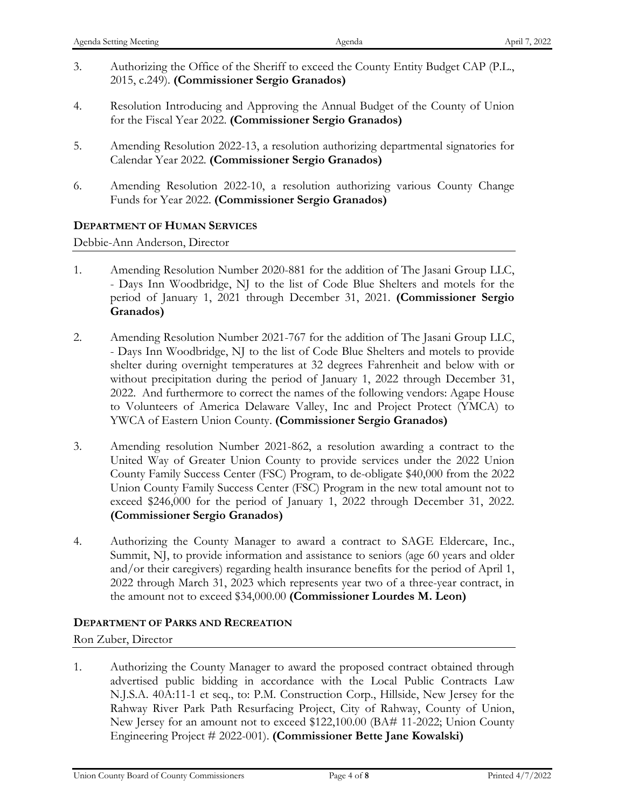- 3. Authorizing the Office of the Sheriff to exceed the County Entity Budget CAP (P.L., 2015, c.249). **(Commissioner Sergio Granados)**
- 4. Resolution Introducing and Approving the Annual Budget of the County of Union for the Fiscal Year 2022. **(Commissioner Sergio Granados)**
- 5. Amending Resolution 2022-13, a resolution authorizing departmental signatories for Calendar Year 2022. **(Commissioner Sergio Granados)**
- 6. Amending Resolution 2022-10, a resolution authorizing various County Change Funds for Year 2022. **(Commissioner Sergio Granados)**

## **DEPARTMENT OF HUMAN SERVICES**

Debbie-Ann Anderson, Director

- 1. Amending Resolution Number 2020-881 for the addition of The Jasani Group LLC, - Days Inn Woodbridge, NJ to the list of Code Blue Shelters and motels for the period of January 1, 2021 through December 31, 2021. **(Commissioner Sergio Granados)**
- 2. Amending Resolution Number 2021-767 for the addition of The Jasani Group LLC, - Days Inn Woodbridge, NJ to the list of Code Blue Shelters and motels to provide shelter during overnight temperatures at 32 degrees Fahrenheit and below with or without precipitation during the period of January 1, 2022 through December 31, 2022. And furthermore to correct the names of the following vendors: Agape House to Volunteers of America Delaware Valley, Inc and Project Protect (YMCA) to YWCA of Eastern Union County. **(Commissioner Sergio Granados)**
- 3. Amending resolution Number 2021-862, a resolution awarding a contract to the United Way of Greater Union County to provide services under the 2022 Union County Family Success Center (FSC) Program, to de-obligate \$40,000 from the 2022 Union County Family Success Center (FSC) Program in the new total amount not to exceed \$246,000 for the period of January 1, 2022 through December 31, 2022. **(Commissioner Sergio Granados)**
- 4. Authorizing the County Manager to award a contract to SAGE Eldercare, Inc., Summit, NJ, to provide information and assistance to seniors (age 60 years and older and/or their caregivers) regarding health insurance benefits for the period of April 1, 2022 through March 31, 2023 which represents year two of a three-year contract, in the amount not to exceed \$34,000.00 **(Commissioner Lourdes M. Leon)**

## **DEPARTMENT OF PARKS AND RECREATION**

Ron Zuber, Director

1. Authorizing the County Manager to award the proposed contract obtained through advertised public bidding in accordance with the Local Public Contracts Law N.J.S.A. 40A:11-1 et seq., to: P.M. Construction Corp., Hillside, New Jersey for the Rahway River Park Path Resurfacing Project, City of Rahway, County of Union, New Jersey for an amount not to exceed \$122,100.00 (BA# 11-2022; Union County Engineering Project # 2022-001). **(Commissioner Bette Jane Kowalski)**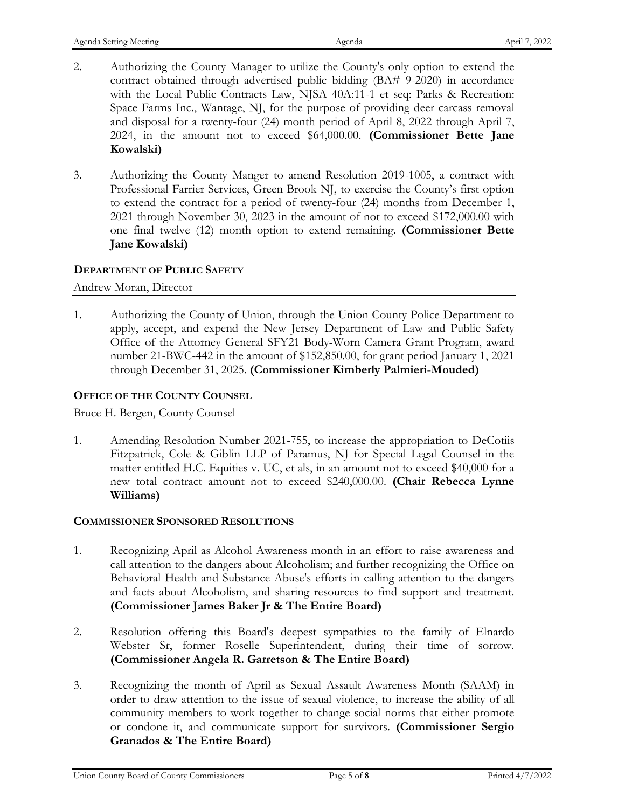- 2. Authorizing the County Manager to utilize the County's only option to extend the contract obtained through advertised public bidding (BA# 9-2020) in accordance with the Local Public Contracts Law, NJSA 40A:11-1 et seq: Parks & Recreation: Space Farms Inc., Wantage, NJ, for the purpose of providing deer carcass removal and disposal for a twenty-four (24) month period of April 8, 2022 through April 7, 2024, in the amount not to exceed \$64,000.00. **(Commissioner Bette Jane Kowalski)**
- 3. Authorizing the County Manger to amend Resolution 2019-1005, a contract with Professional Farrier Services, Green Brook NJ, to exercise the County's first option to extend the contract for a period of twenty-four (24) months from December 1, 2021 through November 30, 2023 in the amount of not to exceed \$172,000.00 with one final twelve (12) month option to extend remaining. **(Commissioner Bette Jane Kowalski)**

## **DEPARTMENT OF PUBLIC SAFETY**

Andrew Moran, Director

1. Authorizing the County of Union, through the Union County Police Department to apply, accept, and expend the New Jersey Department of Law and Public Safety Office of the Attorney General SFY21 Body-Worn Camera Grant Program, award number 21-BWC-442 in the amount of \$152,850.00, for grant period January 1, 2021 through December 31, 2025. **(Commissioner Kimberly Palmieri-Mouded)**

## **OFFICE OF THE COUNTY COUNSEL**

Bruce H. Bergen, County Counsel

1. Amending Resolution Number 2021-755, to increase the appropriation to DeCotiis Fitzpatrick, Cole & Giblin LLP of Paramus, NJ for Special Legal Counsel in the matter entitled H.C. Equities v. UC, et als, in an amount not to exceed \$40,000 for a new total contract amount not to exceed \$240,000.00. **(Chair Rebecca Lynne Williams)**

## **COMMISSIONER SPONSORED RESOLUTIONS**

- 1. Recognizing April as Alcohol Awareness month in an effort to raise awareness and call attention to the dangers about Alcoholism; and further recognizing the Office on Behavioral Health and Substance Abuse's efforts in calling attention to the dangers and facts about Alcoholism, and sharing resources to find support and treatment. **(Commissioner James Baker Jr & The Entire Board)**
- 2. Resolution offering this Board's deepest sympathies to the family of Elnardo Webster Sr, former Roselle Superintendent, during their time of sorrow. **(Commissioner Angela R. Garretson & The Entire Board)**
- 3. Recognizing the month of April as Sexual Assault Awareness Month (SAAM) in order to draw attention to the issue of sexual violence, to increase the ability of all community members to work together to change social norms that either promote or condone it, and communicate support for survivors. **(Commissioner Sergio Granados & The Entire Board)**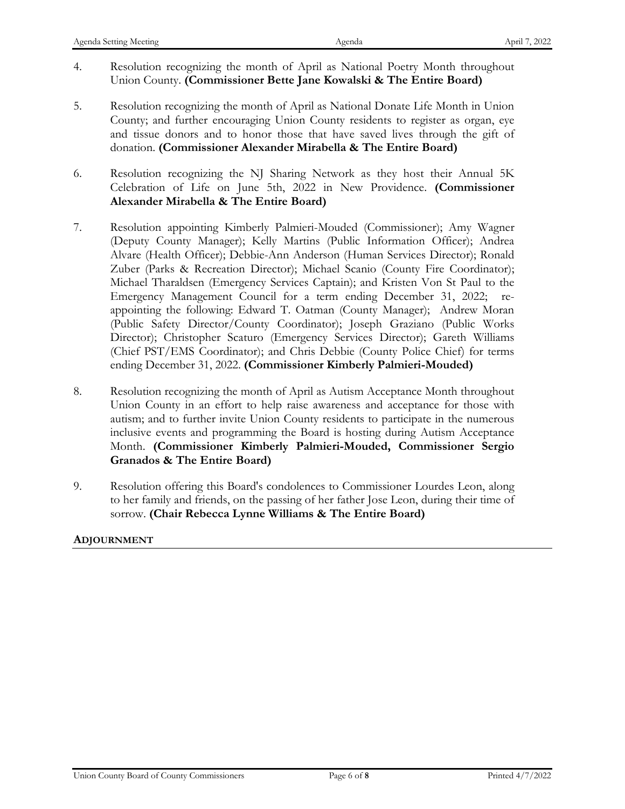- 4. Resolution recognizing the month of April as National Poetry Month throughout Union County. **(Commissioner Bette Jane Kowalski & The Entire Board)**
- 5. Resolution recognizing the month of April as National Donate Life Month in Union County; and further encouraging Union County residents to register as organ, eye and tissue donors and to honor those that have saved lives through the gift of donation. **(Commissioner Alexander Mirabella & The Entire Board)**
- 6. Resolution recognizing the NJ Sharing Network as they host their Annual 5K Celebration of Life on June 5th, 2022 in New Providence. **(Commissioner Alexander Mirabella & The Entire Board)**
- 7. Resolution appointing Kimberly Palmieri-Mouded (Commissioner); Amy Wagner (Deputy County Manager); Kelly Martins (Public Information Officer); Andrea Alvare (Health Officer); Debbie-Ann Anderson (Human Services Director); Ronald Zuber (Parks & Recreation Director); Michael Scanio (County Fire Coordinator); Michael Tharaldsen (Emergency Services Captain); and Kristen Von St Paul to the Emergency Management Council for a term ending December 31, 2022; reappointing the following: Edward T. Oatman (County Manager); Andrew Moran (Public Safety Director/County Coordinator); Joseph Graziano (Public Works Director); Christopher Scaturo (Emergency Services Director); Gareth Williams (Chief PST/EMS Coordinator); and Chris Debbie (County Police Chief) for terms ending December 31, 2022. **(Commissioner Kimberly Palmieri-Mouded)**
- 8. Resolution recognizing the month of April as Autism Acceptance Month throughout Union County in an effort to help raise awareness and acceptance for those with autism; and to further invite Union County residents to participate in the numerous inclusive events and programming the Board is hosting during Autism Acceptance Month. **(Commissioner Kimberly Palmieri-Mouded, Commissioner Sergio Granados & The Entire Board)**
- 9. Resolution offering this Board's condolences to Commissioner Lourdes Leon, along to her family and friends, on the passing of her father Jose Leon, during their time of sorrow. **(Chair Rebecca Lynne Williams & The Entire Board)**

## **ADJOURNMENT**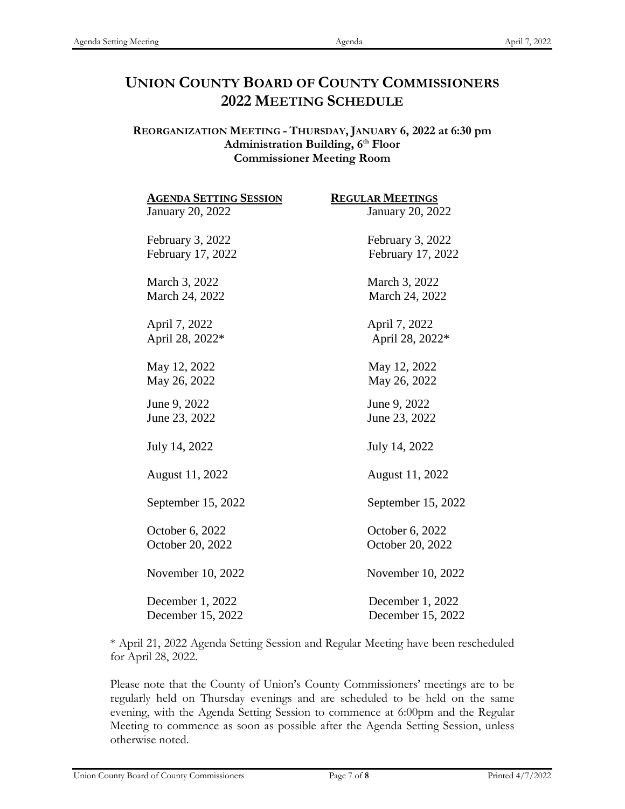## **UNION COUNTY BOARD OF COUNTY COMMISSIONERS 2022 MEETING SCHEDULE**

## **REORGANIZATION MEETING - THURSDAY, JANUARY 6, 2022 at 6:30 pm** Administration Building, 6<sup>th</sup> Floor **Commissioner Meeting Room**

| <b>AGENDA SETTING SESSION</b> | <b>REGULAR MEETINGS</b> |
|-------------------------------|-------------------------|
| January 20, 2022              | January 20, 2022        |
| February 3, 2022              | February 3, 2022        |
| February 17, 2022             | February 17, 2022       |
| March 3, 2022                 | March 3, 2022           |
| March 24, 2022                | March 24, 2022          |
| April 7, 2022                 | April 7, 2022           |
| April 28, 2022*               | April 28, 2022*         |
| May 12, 2022                  | May 12, 2022            |
| May 26, 2022                  | May 26, 2022            |
| June 9, 2022                  | June 9, 2022            |
| June 23, 2022                 | June 23, 2022           |
| July 14, 2022                 | July 14, 2022           |
| August 11, 2022               | August 11, 2022         |
| September 15, 2022            | September 15, 2022      |
| October 6, 2022               | October 6, 2022         |
| October 20, 2022              | October 20, 2022        |
| November 10, 2022             | November 10, 2022       |
| December 1, 2022              | December 1, 2022        |
| December 15, 2022             | December 15, 2022       |

\* April 21, 2022 Agenda Setting Session and Regular Meeting have been rescheduled for April 28, 2022.

Please note that the County of Union's County Commissioners' meetings are to be regularly held on Thursday evenings and are scheduled to be held on the same evening, with the Agenda Setting Session to commence at 6:00pm and the Regular Meeting to commence as soon as possible after the Agenda Setting Session, unless otherwise noted.